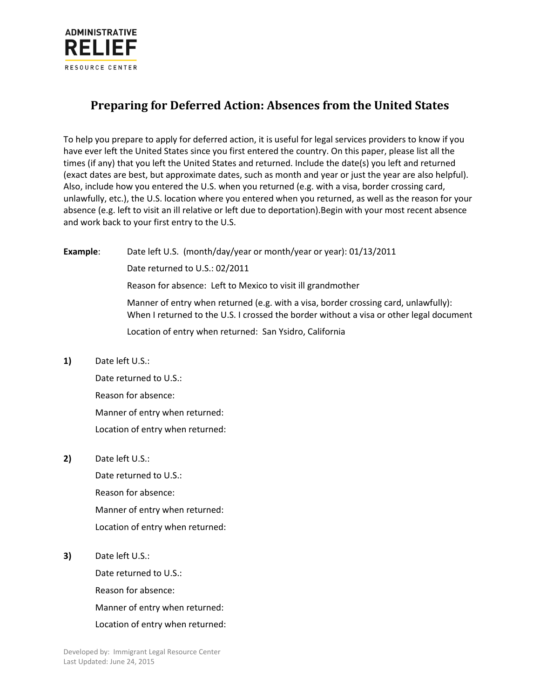

## **Preparing for Deferred Action: Absences from the United States**

To help you prepare to apply for deferred action, it is useful for legal services providers to know if you have ever left the United States since you first entered the country. On this paper, please list all the times (if any) that you left the United States and returned. Include the date(s) you left and returned (exact dates are best, but approximate dates, such as month and year or just the year are also helpful). Also, include how you entered the U.S. when you returned (e.g. with a visa, border crossing card, unlawfully, etc.), the U.S. location where you entered when you returned, as well as the reason for your absence (e.g. left to visit an ill relative or left due to deportation).Begin with your most recent absence and work back to your first entry to the U.S.

**Example**: Date left U.S. (month/day/year or month/year or year): 01/13/2011 Date returned to U.S.: 02/2011 Reason for absence: Left to Mexico to visit ill grandmother Manner of entry when returned (e.g. with a visa, border crossing card, unlawfully): When I returned to the U.S. I crossed the border without a visa or other legal document Location of entry when returned: San Ysidro, California

**1)** Date left U.S.:

Date returned to U.S.: Reason for absence: Manner of entry when returned: Location of entry when returned:

**2)** Date left U.S.:

Date returned to U.S.: Reason for absence: Manner of entry when returned: Location of entry when returned:

**3)** Date left U.S.:

Date returned to U.S.: Reason for absence: Manner of entry when returned: Location of entry when returned: